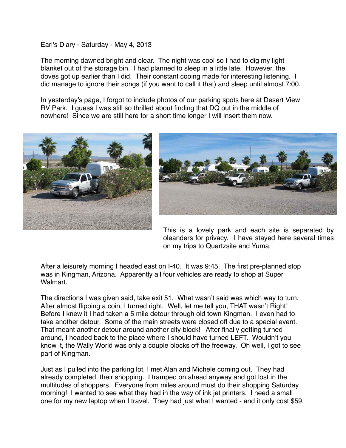Earl's Diary - Saturday - May 4, 2013

The morning dawned bright and clear. The night was cool so I had to dig my light blanket out of the storage bin. I had planned to sleep in a little late. However, the doves got up earlier than I did. Their constant cooing made for interesting listening. I did manage to ignore their songs (if you want to call it that) and sleep until almost 7:00.

In yesterday's page, I forgot to include photos of our parking spots here at Desert View RV Park. I guess I was still so thrilled about finding that DQ out in the middle of nowhere! Since we are still here for a short time longer I will insert them now.





This is a lovely park and each site is separated by oleanders for privacy. I have stayed here several times on my trips to Quartzsite and Yuma.

After a leisurely morning I headed east on I-40. It was 9:45. The first pre-planned stop was in Kingman, Arizona. Apparently all four vehicles are ready to shop at Super Walmart.

The directions I was given said, take exit 51. What wasn't said was which way to turn. After almost flipping a coin, I turned right. Well, let me tell you, THAT wasn't Right! Before I knew it I had taken a 5 mile detour through old town Kingman. I even had to take another detour. Some of the main streets were closed off due to a special event. That meant another detour around another city block! After finally getting turned around, I headed back to the place where I should have turned LEFT. Wouldn't you know it, the Wally World was only a couple blocks off the freeway. Oh well, I got to see part of Kingman.

Just as I pulled into the parking lot, I met Alan and Michele coming out. They had already completed their shopping. I tramped on ahead anyway and got lost in the multitudes of shoppers. Everyone from miles around must do their shopping Saturday morning! I wanted to see what they had in the way of ink jet printers. I need a small one for my new laptop when I travel. They had just what I wanted - and it only cost \$59.